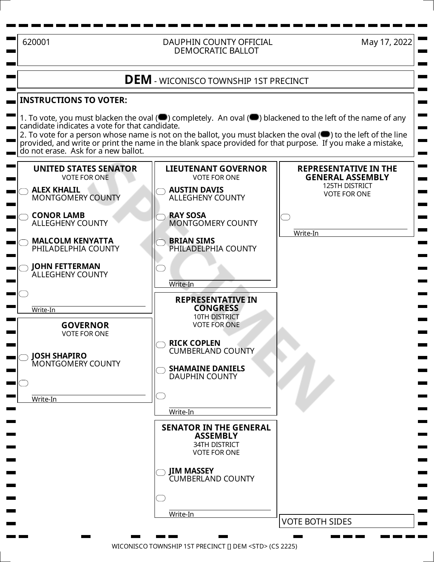## 620001 DAUPHIN COUNTY OFFICIAL DEMOCRATIC BALLOT

May 17, 2022

## **DEM** - WICONISCO TOWNSHIP 1ST PRECINCT

## **INSTRUCTIONS TO VOTER:**

1. To vote, you must blacken the oval ( $\blacksquare$ ) completely. An oval ( $\blacksquare$ ) blackened to the left of the name of any candidate indicates a vote for that candidate.

2. To vote for a person whose name is not on the ballot, you must blacken the oval ( $\blacksquare$ ) to the left of the line provided, and write or print the name in the blank space provided for that purpose. If you make a mistake, do not erase. Ask for a new ballot.

| <b>UNITED STATES SENATOR</b><br><b>VOTE FOR ONE</b> | <b>LIEUTENANT GOVERNOR</b><br><b>VOTE FOR ONE</b>                                        | <b>REPRESENTATIVE IN THE</b><br><b>GENERAL ASSEMBLY</b> |
|-----------------------------------------------------|------------------------------------------------------------------------------------------|---------------------------------------------------------|
| <b>ALEX KHALIL</b><br><b>MONTGOMERY COUNTY</b>      | <b>AUSTIN DAVIS</b><br><b>ALLEGHENY COUNTY</b>                                           | <b>125TH DISTRICT</b><br><b>VOTE FOR ONE</b>            |
| <b>CONOR LAMB</b><br><b>ALLEGHENY COUNTY</b>        | <b>RAY SOSA</b><br><b>MONTGOMERY COUNTY</b>                                              |                                                         |
| <b>MALCOLM KENYATTA</b><br>PHILADELPHIA COUNTY      | <b>BRIAN SIMS</b><br>PHILADELPHIA COUNTY                                                 | Write-In                                                |
| <b>JOHN FETTERMAN</b><br>ALLEGHENY COUNTY           | Write-In                                                                                 |                                                         |
| Write-In                                            | <b>REPRESENTATIVE IN</b><br><b>CONGRESS</b><br>10TH DISTRICT                             |                                                         |
| <b>GOVERNOR</b><br><b>VOTE FOR ONE</b>              | <b>VOTE FOR ONE</b><br><b>RICK COPLEN</b>                                                |                                                         |
| <b>JOSH SHAPIRO</b><br>MONTGOMERY COUNTY            | <b>CUMBERLAND COUNTY</b><br><b>SHAMAINE DANIELS</b><br><b>DAUPHIN COUNTY</b>             |                                                         |
| Write-In                                            | Write In                                                                                 |                                                         |
|                                                     | <b>SENATOR IN THE GENERAL</b><br><b>ASSEMBLY</b><br>34TH DISTRICT<br><b>VOTE FOR ONE</b> |                                                         |
|                                                     | <b>JIM MASSEY</b><br><b>CUMBERLAND COUNTY</b>                                            |                                                         |
|                                                     | Write-In                                                                                 |                                                         |
|                                                     |                                                                                          | <b>VOTE BOTH SIDES</b>                                  |